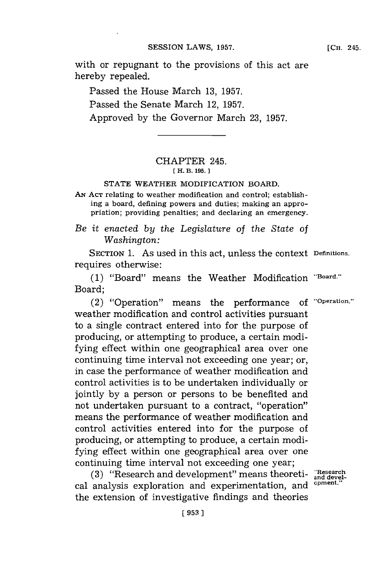with or repugnant to the provisions of this act are hereby repealed.

Passed the House March **13, 1957.** Passed the Senate March 12, **1957.** Approved **by** the Governor March **23, 1957.**

## CHAPTER 245. **[ H. B. 195.]1**

## **STATE** WEATHER MODIFICATION BOARD.

**AN ACT** relating to weather modification and control; establishing a board, defining powers and duties; making an appropriation; providing penalties; and declaring an emergency.

## *Be it enacted by the Legislature of the State of Washington:*

**SECTION 1.** As used in this act, unless the context **Definitions.** requires otherwise:

**(1)** "Board" means the Weather Modification **"Board."** Board;

(2) "Operation" means the performance **of "Operation."** weather modification and control activities pursuant to a single contract entered into for the purpose of producing, or attempting to produce, a certain modifying effect within one geographical area over one continuing time interval not exceeding one year; or, in case the performance of weather modification and control activities is to be undertaken individually or jointly **by** a person or persons to be benefited and not undertaken pursuant to a contract, "operation" means the performance of weather modification and control activities entered into for the purpose of producing, or attempting to produce, a certain modifying effect within one geographical area over one continuing time interval not exceeding one year;

**(3)** "Research and development" means theoreti- **"Research and devel**cal analysis exploration and experimentation, and the extension of investigative findings and theories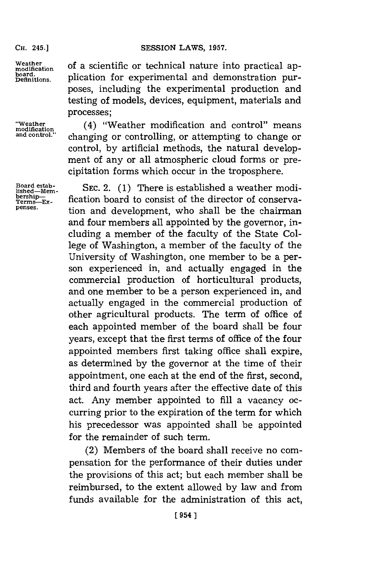## **CH. 45.]SESSION LAWS, 1957.**

**CH.** 245.]

**board.**

Weather of a scientific or technical nature into practical application for experimental and demonstration purposes, including the experimental production and testing of models, devices, equipment, materials and processes;

**"Weather** (4) "Weather modification and control" means **modification** changing or controlling, or attempting to change or control, **by** artificial methods, the natural development of any or all atmospheric cloud forms or precipitation forms which occur in the troposphere.

Board estab-<br>lished—Mem- SEC. 2. (1) There is established a weather mo Board estab-<br>
lished—Mem-<br> **bership—**<br> **bership—**<br> **consist of the director of conserva-**<br> **bership—**<br> **bership—**<br> **conservapenses.** tion and development, who shall be the chairman and four members all appointed **by** the governor, including a member of the faculty of the State College of Washington, a member of the faculty of the University of Washington, one member to be a person experienced in, and actually engaged in the commercial production of horticultural products, and one member to be a person experienced in, and actually engaged in the commercial production of other agricultural products. The term of office of each appointed member of the board shall be four years, except that the first terms of office of the four appointed members first taking office shall expire, as determined **by** the governor at the time of their appointment, one each at the end of the first, second, third and fourth years after the effective date of this act. Any member appointed to **fill** a vacancy occurring prior to the expiration of the term for which his precedessor was appointed shall be appointed for the remainder of such term.

> (2) Members of the board shall receive no compensation for the performance of their duties under the provisions of this act; but each member shall be reimbursed, to the extent allowed **by** law and from funds available for the administration of this act,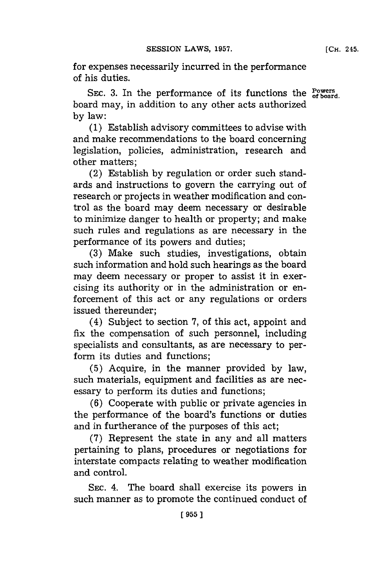for expenses necessarily incurred in the performance of his duties.

SEC. 3. In the performance of its functions the  $_{\text{of board}}^{\text{Powers}}$ board may, in addition to any other acts authorized **by** law:

**(1)** Establish advisory committees to advise with and make recommendations to the board concerning legislation, policies, administration, research and other matters;

(2) Establish **by** regulation or order such standards and instructions to govern the carrying out of research or projects in weather modification and control as the board may deem necessary or desirable to minimize danger to health or property; and make such rules and regulations as are necessary in the performance of its powers and duties;

**(3)** Make such studies, investigations, obtain such information and hold such hearings as the board may deem necessary or proper to assist it in exercising its authority or in the administration or enforcement of this act or any regulations or orders issued thereunder;

(4) Subject to section **7,** of this act, appoint and fix the compensation of such personnel, including specialists and consultants, as are necessary to perform its duties and functions;

**(5)** Acquire, in the manner provided **by** law, such materials, equipment and facilities as are necessary to perform its duties and functions;

**(6)** Cooperate with public or private agencies in the performance of the board's functions or duties and in furtherance of the purposes of this act;

**(7)** Represent the state in any and all matters pertaining to plans, procedures or negotiations for interstate compacts relating to weather modification and control.

SEC. 4. The board shall exercise its powers in such manner as to promote the continued conduct of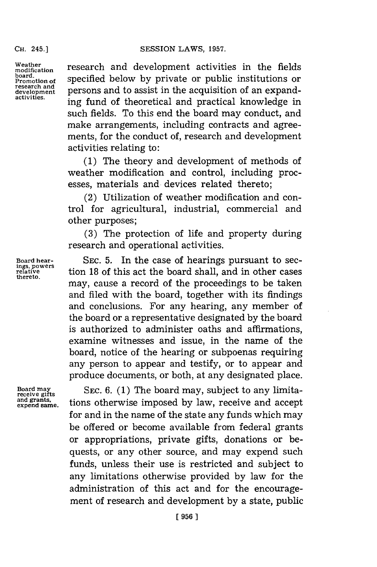**research and**

Weather **research and development activities** in the fields board. **property** specified below by private or public institutions or persons and to assist in the acquisition of an expand-<br> **ing fund of theoretical and practical knowledge in** such fields. To this end the board may conduct, and make arrangements, including contracts and agreements, for the conduct of, research and development activities relating to:

> **(1)** The theory and development of methods of weather modification and control, including processes, materials and devices related thereto;

> (2) Utilization of weather modification and control for agricultural, industrial, commercial and other purposes;

> **(3)** The protection of life and property during research and operational activities.

Board hear-<br>
In the case of hearings pursuant to sec-<br>
relative tion 18 of this act the board shall, and in other cases tion 18 of this act the board shall, and in other cases may, cause a record of the proceedings to be taken and filed with the board, together with its findings and conclusions. For any hearing, any member of the board or a representative designated **by** the board is authorized to administer oaths and affirmations, examine witnesses and issue, in the name of the board, notice of the hearing or subpoenas requiring any person to appear and testify, or to appear and produce documents, or both, at any designated place.

**thereto.**

**Board may** SEC. 6. (1) The board may, subject to any limita-receive gifts<br>and grants, tions otherwise imposed by law, receive and accent and grants, tions otherwise imposed by law, receive and accept for and in the name of the state any funds which may be offered or become available from federal grants or appropriations, private gifts, donations or bequests, or any other source, and may expend such funds, unless their use is restricted and subject to any limitations otherwise provided **by** law for the administration of this act and for the encouragement of research and development **by** a state, public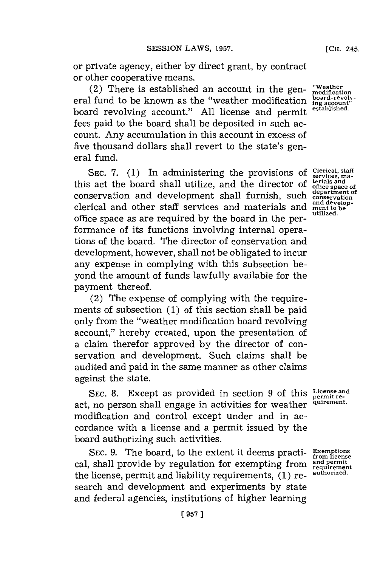or private agency, either **by** direct grant, **by** contract or other cooperative means.

(2) There is established an account in the general fund to be known as the "weather modification board revolving account." **All** license and permit fees paid to the board shall be deposited in such account. Any accumulation in this account in excess of five thousand dollars shall revert to the state's general fund.

**SEC. 7. (1)** In administering the provisions of this act the board shall utilize, and the director of conservation and development shall furnish, such clerical and other staff services and materials and office space as are required **by** the board in the performance of its functions involving internal operations of the board. The director of conservation and development, however, shall not be obligated to incur any expense in complying with this subsection beyond the amount of funds lawfully available for the payment thereof.

(2) The expense of complying with the requirements of subsection **(1)** of this section shall be paid only from the "weather modification board revolving account," hereby created, upon the presentation of a claim therefor approved by the director of conservation and development. Such claims shall be audited and paid in the same manner as other claims against the state.

SEC. 8. Except as provided in section 9 of this License and<br> **permit re-**<br> **permit re- permit re- PEC.** act, no person shall engage in activities for weather modification and control except under and in accordance with a license and a permit issued **by** the board authorizing such activities.

**SEC. 9.** The board, to the extent it deems practi- **Exemptions from license** cal, shall provide **by** regulation for exempting from **and permit~** the license, permit and liability requirements, **(1)** re- **authorized.** search and development and experiments **by** state and federal agencies, institutions of higher learning

**"Weather modification board-revolving account" established.**

**Clerical, staff services, ma- terials and office space of department of conservation and development to be utilized .**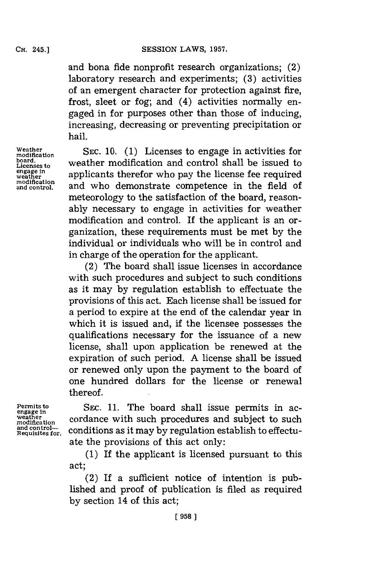and bona fide nonprofit research organizations; (2) laboratory research and experiments; **(3)** activities of an emergent character for protection against fire, frost, sleet or fog; and (4) activities normally engaged in for purposes other than those of inducing, increasing, decreasing or preventing precipitation or hail.

Weather<br>modification

Weather **SEC. 10.** (1) Licenses to engage in activities for boatdcation **SEC. 10.** (1) Licenses to engage in activities for board.<br>Licenses to **Licenses to weather modification and control shall be issued to** engage in applicants therefor who pay the license fee required engage in applicants therefor who pay the license fee required modification and control. and who demonstrate competence in the field of and who demonstrate competence in the field of meteorology to the satisfaction of the board, reasonably necessary to engage in activities for weather modification and control. If the applicant is an organization, these requirements must be met **by** the individual or individuals who will be in control and in charge of the operation for the applicant.

> (2) The board shall issue licenses in accordance with such procedures and subject to such conditions as it may **by** regulation establish to effectuate the provisions of this act. Each license shall be issued for a period to expire at the end of the calendar year in which it is issued and, if the licensee possesses the qualifications necessary for the issuance of a new license, shall upon application be renewed at the expiration of such period. **A** license shall be issued or renewed only upon the payment to the board of one hundred dollars for the license or renewal thereof.

**and control-**

Permits to **SEC. 11.** The board shall issue permits in ac-<br>egage in cordance with such procedures and subject to such weather cordance with such procedures and subject to such conditions as it may by regulation establish to effectuate the provisions of this act only:

> **(1)** If the applicant is licensed pursuant to this act;

> (2) If a sufficient notice of intention is published and proof of publication is filed as required **by** section 14 of this act;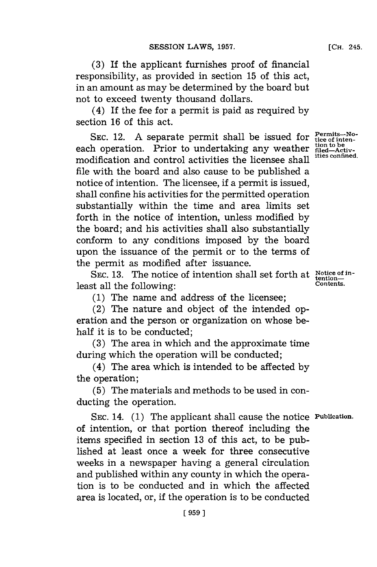**(3)** If the applicant furnishes proof of financial responsibility, as provided in section **15** of this act, in an amount as may be determined **by** the board but not to exceed twenty thousand dollars.

(4) If the fee for a permit is paid as required **by** section **16** of this act.

SEC. 12. A separate permit shall be issued for **Permits-No**each operation. Prior to undertaking any weather filed-Activmodification and control activities the licensee shall file with the board and also cause to be published a notice of intention. The licensee, if a permit is issued, shall confine his activities for the permitted operation substantially within the time and area limits set forth in the notice of intention, unless modified **by** the board; and his activities shall also substantially conform to any conditions imposed **by** the board upon the issuance of the permit or to the terms of the permit as modified after issuance.

SEC. 13. The notice of intention shall set forth at Notice of inleast all the following: **CONTENT CONTENTS.** 

**(1)** The name and address of the licensee;

(2) The nature and object of the intended operation and the person or organization on whose behalf it is to be conducted;

**(3)** The area in which and the approximate time during which the operation will be conducted;

(4) The area which is intended to be affected **by** the operation;

**(5)** The materials and methods to be used in conducting the operation.

**SEC.** 14. **(1)** The applicant shall cause the notice **Pubication.** of intention, or that portion thereof including the items specified in section **13** of this act, to be published at least once a week for three consecutive weeks in a newspaper having a general circulation and published within any county in which the operation is to be conducted and in which the affected area is located, or, if the operation is to be conducted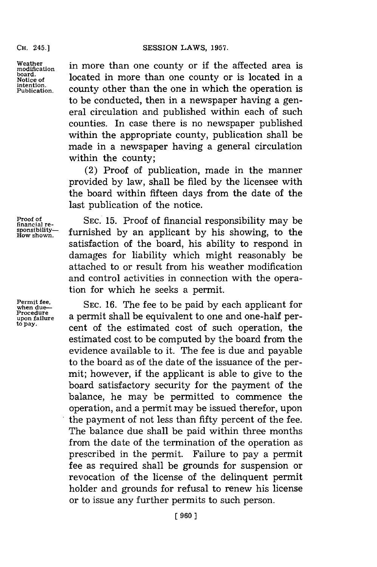**board.**

Weather **in more than one county or if the affected area is** modification **Notice of located in more than one county or is located in a**<br> **Notice** of *n*  $P_{\text{ublication}}$  county other than the one in which the operation is to be conducted, then in a newspaper having a general circulation and published within each of such counties. In case there is no newspaper published within the appropriate county, publication shall be made in a newspaper having a general circulation within the county;

> (2) Proof of publication, made in the manner provided **by** law, shall be filed **by** the licensee with the board within fifteen days from the date of the last publication of the notice.

**Proof of financial responsibility may be sponsibility—** furnished by an applicant by his showing, to the **How** shown. furnished by an applicant by his showing, to the satisfaction of the board, his ability to respond in damages for liability which might reasonably be attached to or result from his weather modification and control activities in connection with the operation for which he seeks a permit.

**Permit fee, when due-- SEC. 16.** The fee to be paid **by** each applicant for **Procedure** a permit shall be equivalent to one and one-half per-<br>to pay, **cent of the estimated cost of such operation**, the estimated cost to be computed **by** the board from the evidence available to it. The fee is due and payable to the board as of the date of the issuance of the permit; however, if the applicant is able to give to the board satisfactory security for the payment of the balance, he may be permitted to commence the operation, and a permit may be issued therefor, upon the payment of not less than fifty percent of the fee. The balance due shall be paid within three months from the date of the termination of the operation as prescribed in the permit. Failure to pay a permit fee as required shall be grounds for suspension or revocation of the license of the delinquent permit holder and grounds for refusal to renew his license or to issue any further permits to such person.

when due<br>Procedure<br>upon failure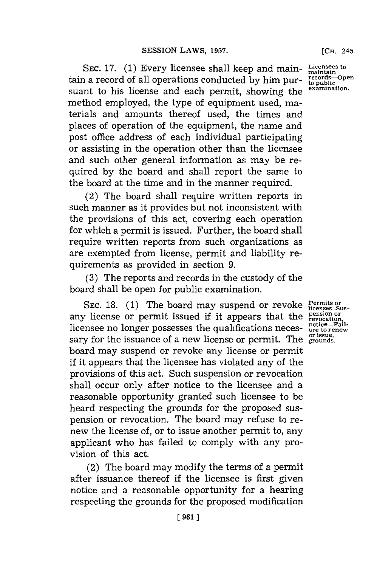**SEC. 17. (1)** Every licensee shall keep and main-**Licensees to maintain** tain a record of all operations conducted **by** him pursuant to his license and each permit, showing the method employed, the type of equipment used, materials and amounts thereof used, the times and places of operation of the equipment, the name and post office address of each individual participating or assisting in the operation other than the licensee and such other general information as may be required **by** the board and shall report the same to the board at the time and in the manner required.

(2) The board shall require written reports in such manner as it provides but not inconsistent with the provisions of this act, covering each operation for which a permit is issued. Further, the board shall require written reports from such organizations as are exempted from license, permit and liability requirements as provided in section **9.**

**(3)** The reports and records in the custody of the board shall be open for public examination.

SEC. 18. (1) The board may suspend or revoke Permits or *Permits* or any license or permit issued if it appears that the **pension or** licensee no longer possesses the qualifications necessary for the issuance of a new license or permit. The <sup>orissue,</sup> board may suspend or revoke any license or permit if it appears that the licensee has violated any of the provisions of this act. Such suspension or revocation shall occur only after notice to the licensee and a reasonable opportunity granted such licensee to be heard respecting the grounds for the proposed suspension or revocation. The board may refuse to renew the license of, or to issue another permit to, any applicant who has failed to comply with any provision of this act.

(2) The board may modify the terms of a permit after issuance thereof if the licensee is first given notice and a reasonable opportunity for a hearing respecting the grounds for the proposed modification

**notice-Fail-ure to renew or issue.**

**[CH.** 245.